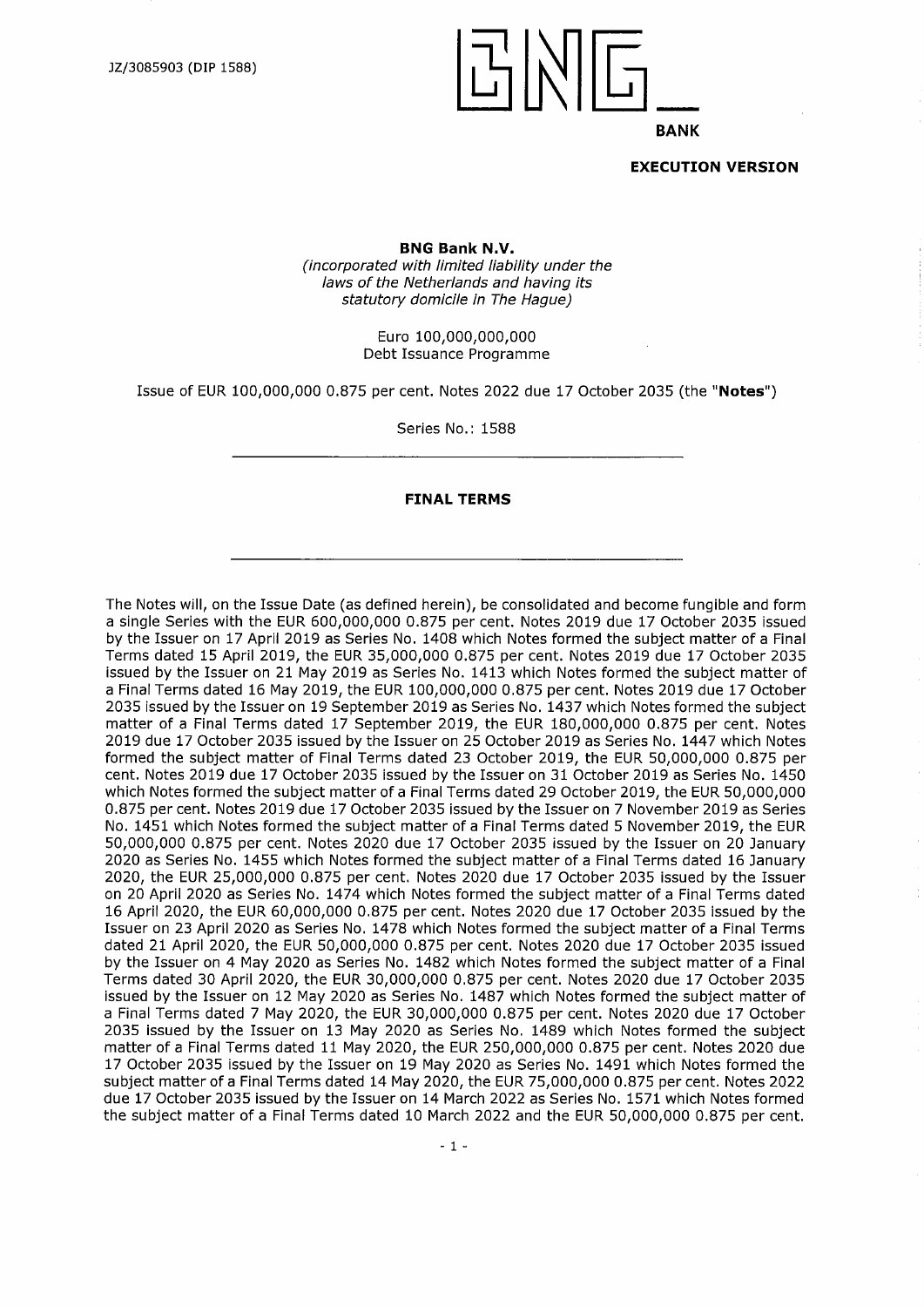

**EXECUTION VERSION**

**BNG Bank N.V.**

*(incorporated with limited liability under the laws ofthe Netherlands and having its statutory domicile in The Hague)*

> Euro 100,000,000,000 Debt Issuance Programme

Issue of EUR 100,000,000 0.875 per cent. Notes 2022 due 17 October 2035 (the **"Notes")**

Series No.: 1588

#### **FINAL TERMS**

The Notes will, on the Issue Date (as defined herein), be consolidated and become fungible and form a single Series with the EUR 600,000,000 0.875 per cent. Notes 2019 due 17 October 2035 issued by the Issuer on 17 April 2019 as Series No. 1408 which Notes formed the subject matter of a Final Terms dated 15 April 2019, the EUR 35,000,000 0.875 per cent. Notes 2019 due 17 October 2035 issued by the Issuer on 21 May 2019 as Series No. 1413 which Notes formed the subject matter of a Final Terms dated 16 May 2019, the EUR 100,000,000 0.875 per cent. Notes 2019 due 17 October 2035 issued by the Issuer on 19 September 2019 as Series No. 1437 which Notes formed the subject matter of a Final Terms dated 17 September 2019, the EUR 180,000,000 0.875 per cent. Notes 2019 due 17 October 2035 issued by the Issuer on 25 October 2019 as Series No. 1447 which Notes formed the subject matter of Final Terms dated 23 October 2019, the EUR 50,000,000 0.875 per cent. Notes 2019 due 17 October 2035 issued by the Issuer on 31 October 2019 as Series No. 1450 which Notes formed the subject matter of a Final Terms dated 29 October 2019, the EUR 50,000,000 0.875 per cent. Notes 2019 due 17 October 2035 issued by the Issuer on 7 November 2019 as Series No. 1451 which Notes formed the subject matter of a Final Terms dated 5 November 2019, the EUR 50,000,000 0.875 per cent. Notes 2020 due 17 October 2035 issued by the Issuer on 20 January 2020 as Series No. 1455 which Notes formed the subject matter of a Final Terms dated 16 January 2020, the EUR 25,000,000 0.875 per cent. Notes 2020 due 17 October 2035 issued by the Issuer on 20 April 2020 as Series No. 1474 which Notes formed the subject matter of a Final Terms dated 16 April 2020, the EUR 60,000,000 0.875 per cent. Notes 2020 due 17 October 2035 issued by the Issuer on 23 April 2020 as Series No. 1478 which Notes formed the subject matter of a Final Terms dated 21 April 2020, the EUR 50,000,000 0.875 per cent. Notes 2020 due 17 October 2035 issued by the Issuer on 4 May 2020 as Series No. 1482 which Notes formed the subject matter of a Final Terms dated 30 April 2020, the EUR 30,000,000 0.875 per cent. Notes 2020 due 17 October 2035 issued by the Issuer on 12 May 2020 as Series No. 1487 which Notes formed the subject matter of a Final Terms dated 7 May 2020, the EUR 30,000,000 0.875 per cent. Notes 2020 due 17 October 2035 issued by the Issuer on 13 May 2020 as Series No. 1489 which Notes formed the subject matter of a Final Terms dated 11 May 2020, the EUR 250,000,000 0.875 per cent. Notes 2020 due 17 October 2035 issued by the Issuer on 19 May 2020 as Series No. 1491 which Notes formed the subject matter of a Final Terms dated 14 May 2020, the EUR 75,000,000 0.875 per cent. Notes 2022 due 17 October 2035 issued by the Issuer on 14 March 2022 as Series No. 1571 which Notes formed the subject matter of a Final Terms dated 10 March 2022 and the EUR 50,000,000 0.875 per cent.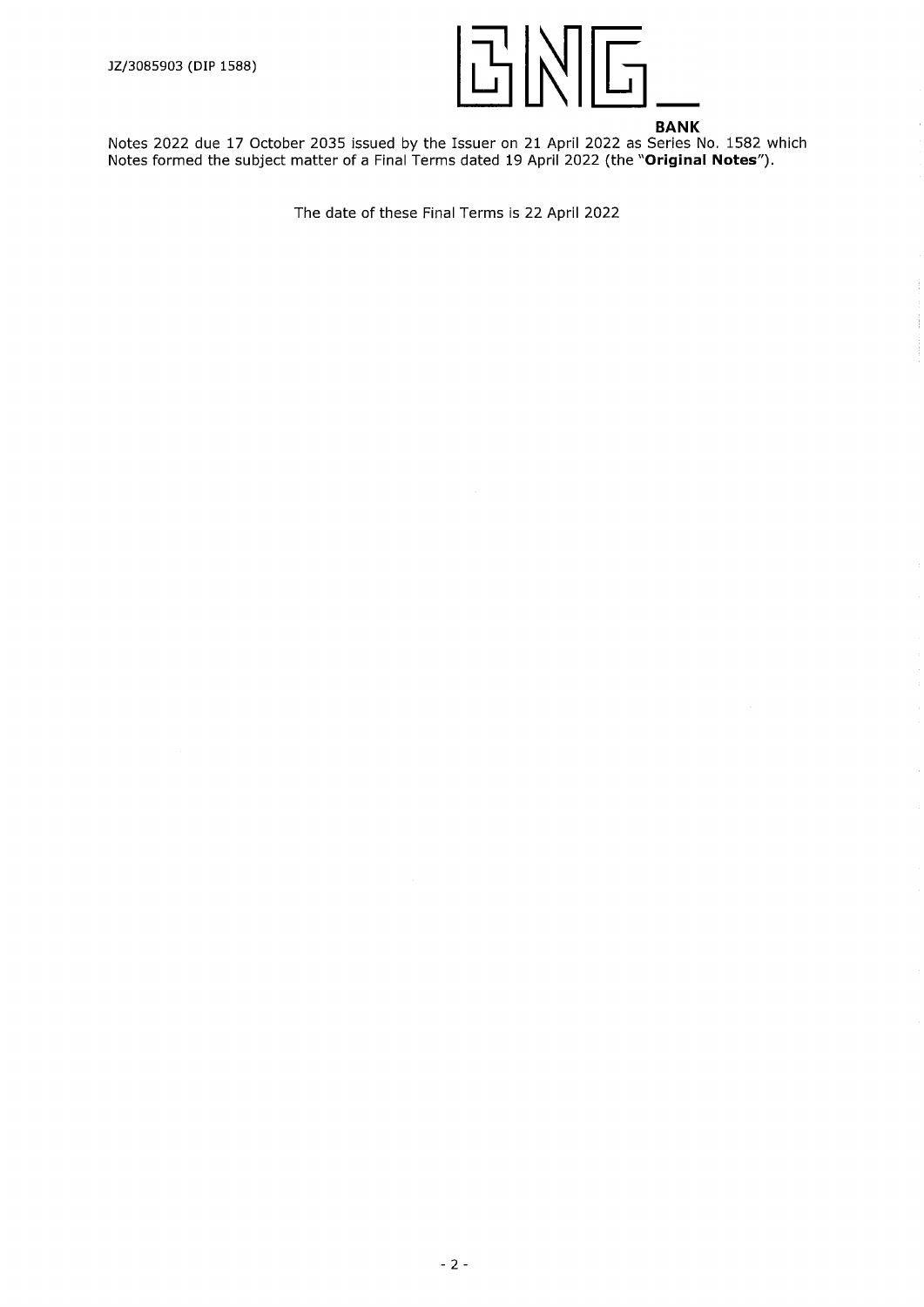

Ť

Notes 2022 due 17 October 2035 issued by the Issuer on 21 April 2022 as Series No. 1582 which Notes formed the subject matter of a Final Terms dated 19 April 2022 (the **"Original Notes").**

The date of these Final Terms is 22 April 2022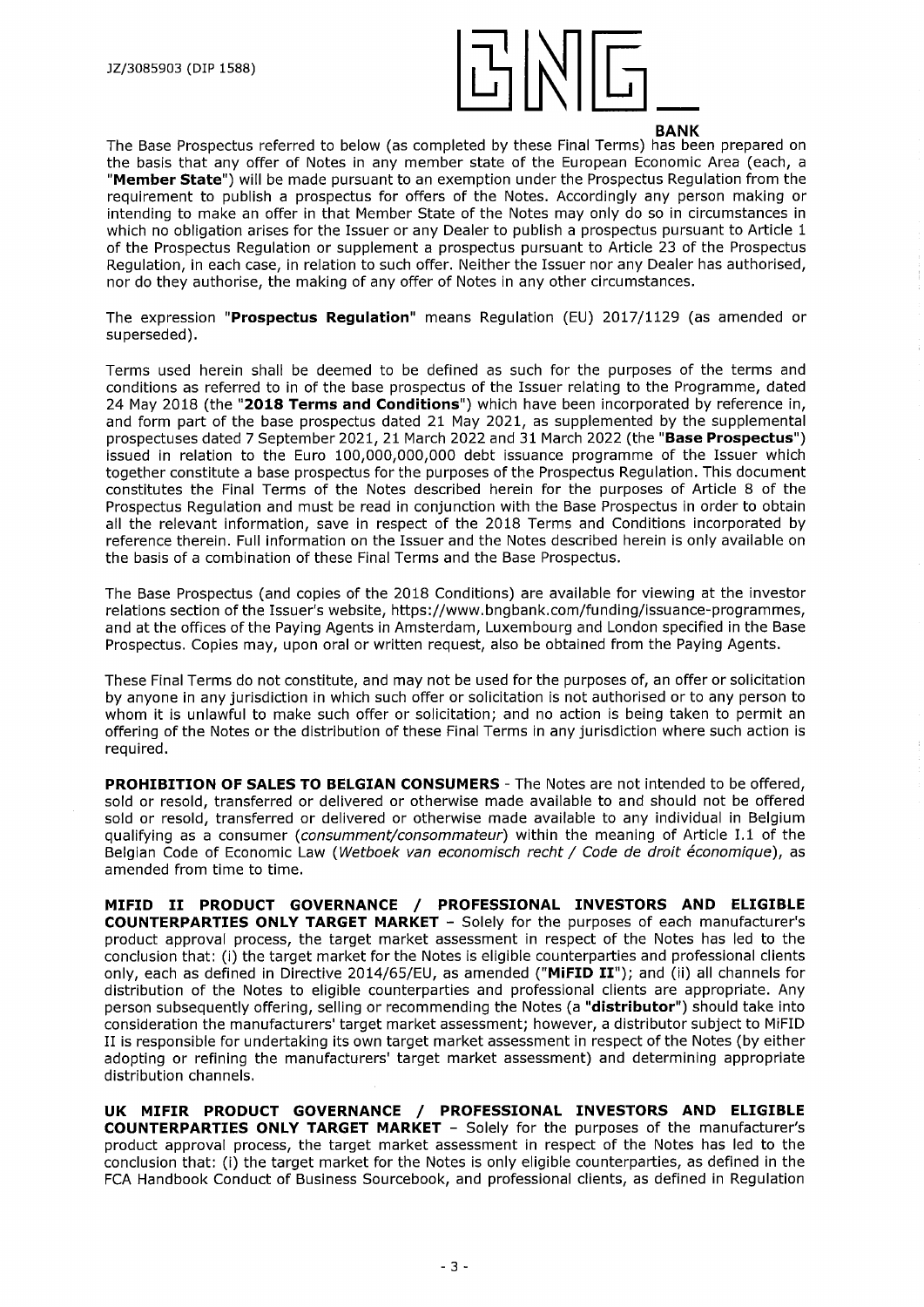

The Base Prospectus referred to below (as completed by these Final Terms) has been prepared on the basis that any offer of Notes in any member state of the European Economic Area (each, <sup>a</sup> **"Member State")** will be made pursuant to an exemption under the Prospectus Regulation from the requirement to publish a prospectus for offers of the Notes. Accordingly any person making or intending to make an offer in that Member State of the Notes may only do so in circumstances in which no obligation arises for the Issuer or any Dealer to publish a prospectus pursuant to Article 1 of the Prospectus Regulation or supplement a prospectus pursuant to Article 23 of the Prospectus Regulation, in each case, in relation to such offer. Neither the Issuer nor any Dealer has authorised, nor do they authorise, the making of any offer of Notes in any other circumstances.

The expression **"Prospectus Regulation"** means Regulation (EU) 2017/1129 (as amended or superseded).

Terms used herein shall be deemed to be defined as such for the purposes of the terms and conditions as referred to in of the base prospectus of the Issuer relating to the Programme, dated 24 May 2018 (the **"2018 Terms and Conditions")** which have been incorporated by reference in, and form part of the base prospectus dated 21 May 2021, as supplemented by the supplemental prospectuses dated 7 September 2021, 21 March 2022 and 31 March 2022 (the **"Base Prospectus")** issued in relation to the Euro 100,000,000,000 debt issuance programme of the Issuer which together constitute a base prospectus for the purposes of the Prospectus Regulation. This document constitutes the Final Terms of the Notes described herein for the purposes of Article 8 of the Prospectus Regulation and must be read in conjunction with the Base Prospectus in order to obtain all the relevant information, save in respect of the 2018 Terms and Conditions incorporated by reference therein. Full information on the Issuer and the Notes described herein is only available on the basis of a combination of these Final Terms and the Base Prospectus.

The Base Prospectus (and copies of the 2018 Conditions) are available for viewing at the investor relations section of the Issuer's website, <https://www.bngbank.com/funding/issuance-programmes>, and at the offices of the Paying Agents in Amsterdam, Luxembourg and London specified in the Base Prospectus. Copies may, upon oral or written request, also be obtained from the Paying Agents.

These Final Terms do not constitute, and may not be used for the purposes of, an offer or solicitation by anyone in any jurisdiction in which such offer or solicitation is not authorised or to any person to whom it is unlawful to make such offer or solicitation; and no action is being taken to permit an offering of the Notes or the distribution of these Final Terms in any jurisdiction where such action is required.

**PROHIBITION OF SALES TO BELGIAN CONSUMERS** - The Notes are not intended to be offered, sold or resold, transferred or delivered or otherwise made available to and should not be offered sold or resold, transferred or delivered or otherwise made available to any individual in Belgium qualifying as a consumer *(consumment/consommateur)* within the meaning of Article 1.1 of the Belgian Code of Economic Law *(Wetboek van economisch recht / Code de droit economique),* as amended from time to time.

**MIFID II PRODUCT GOVERNANCE / PROFESSIONAL INVESTORS AND ELIGIBLE COUNTERPARTIES ONLY TARGET MARKET** - Solely for the purposes of each manufacturer's product approval process, the target market assessment in respect of the Notes has led to the conclusion that: (i) the target market for the Notes is eligible counterparties and professional clients only, each as defined in Directive 2014/65/EU, as amended **("MiFID II");** and (ii) all channels for distribution of the Notes to eligible counterparties and professional clients are appropriate. Any person subsequently offering, selling or recommending the Notes (a **"distributor")** should take into consideration the manufacturers' target market assessment; however, a distributor subject to MiFID II is responsible for undertaking its own target market assessment in respect of the Notes (by either adopting or refining the manufacturers' target market assessment) and determining appropriate distribution channels.

**UK MIFIR PRODUCT GOVERNANCE / PROFESSIONAL INVESTORS AND ELIGIBLE COUNTERPARTIES ONLY TARGET MARKET** - Solely for the purposes of the manufacturer's product approval process, the target market assessment in respect of the Notes has led to the conclusion that: (i) the target market for the Notes is only eligible counterparties, as defined in the FCA Handbook Conduct of Business Sourcebook, and professional clients, as defined in Regulation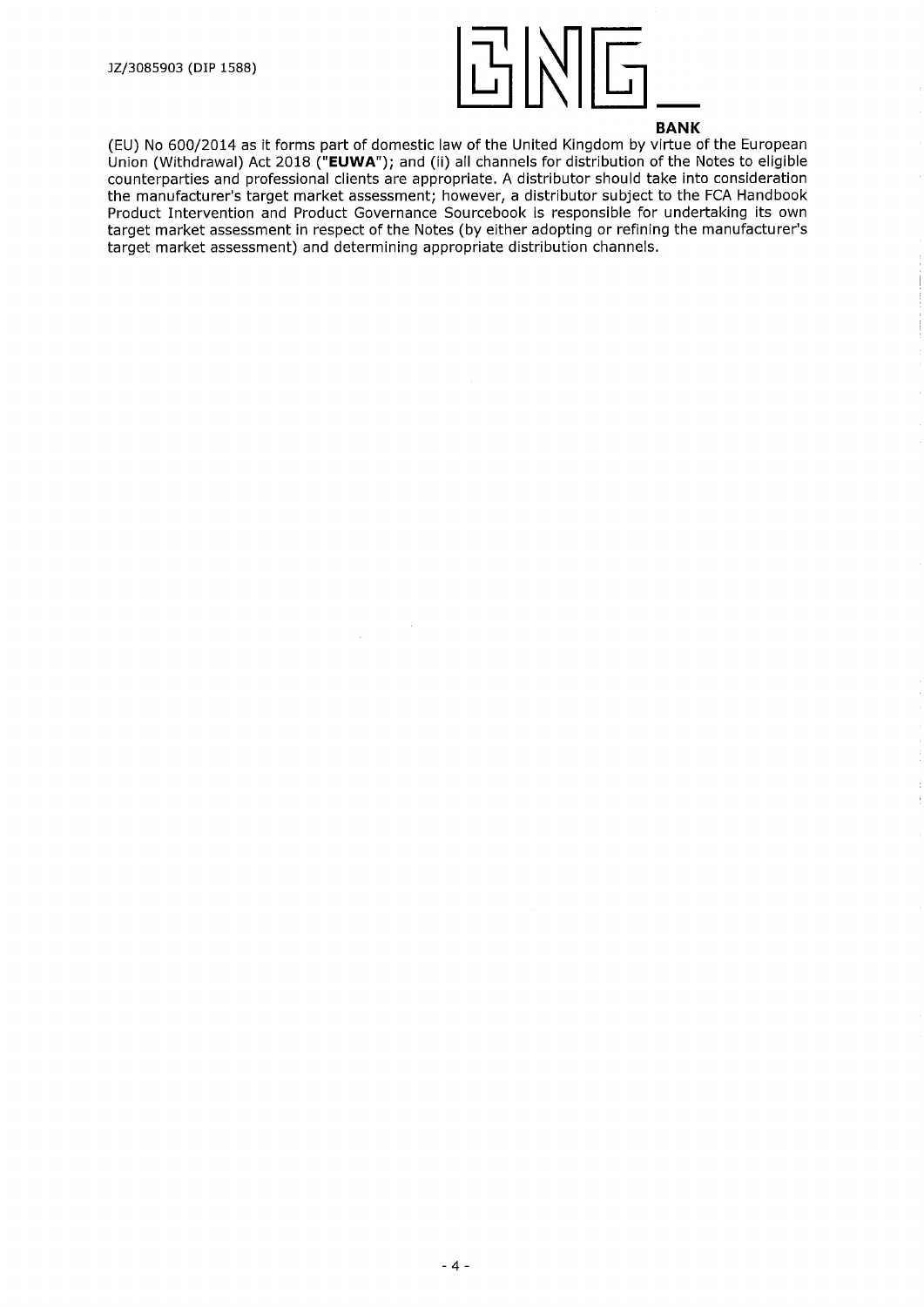

(EU) No 600/2014 as it forms part of domestic law of the United Kingdom by virtue of the European Union (Withdrawal) Act 2018 **("EUWA");** and (ii) all channels for distribution of the Notes to eligible counterparties and professional clients are appropriate. A distributor should take into consideration the manufacturer's target market assessment; however, a distributor subject to the FCA Handbook Product Intervention and Product Governance Sourcebook is responsible for undertaking its own target market assessment in respect of the Notes (by either adopting or refining the manufacturer's target market assessment) and determining appropriate distribution channels.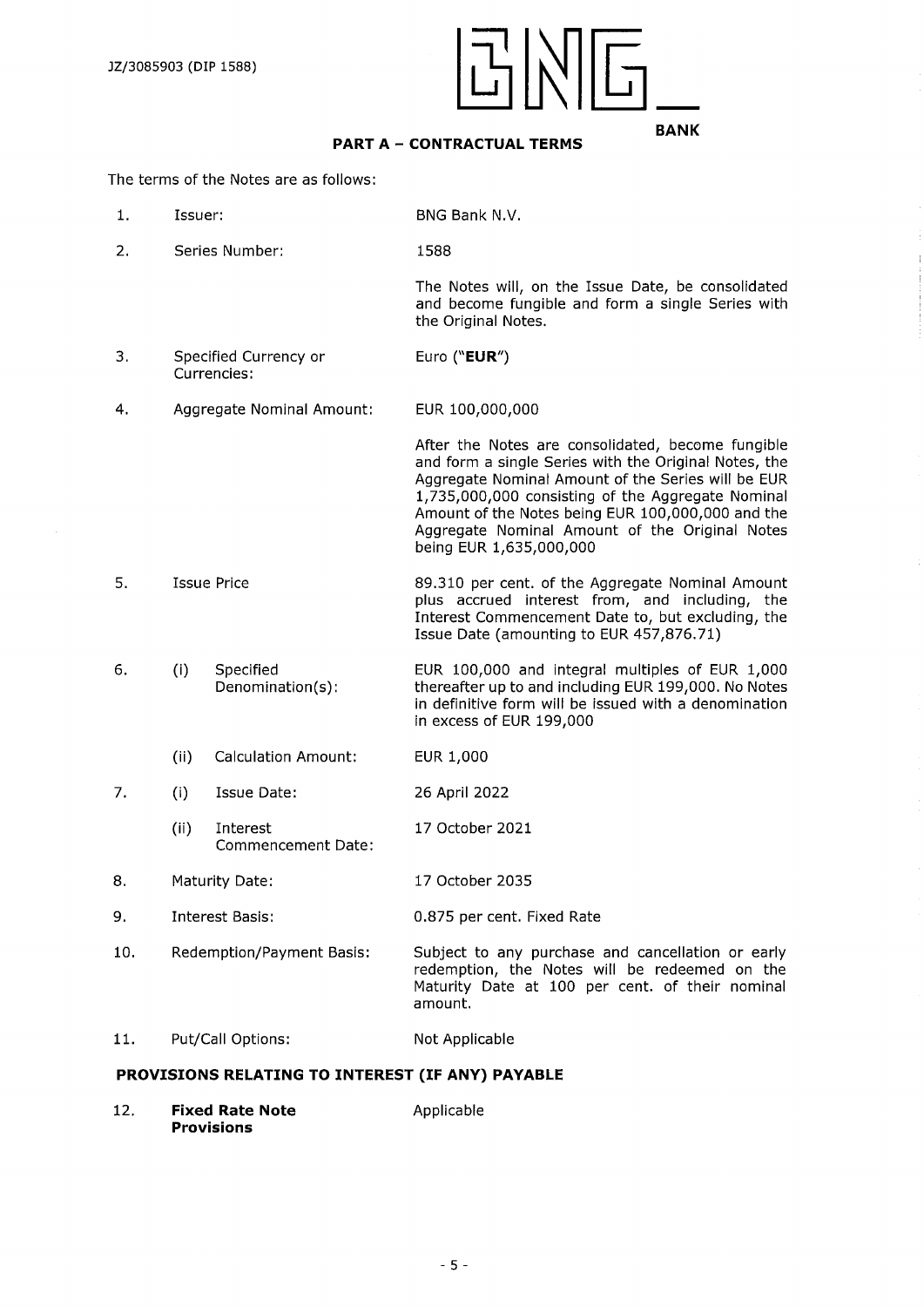

# **PART <sup>A</sup> - CONTRACTUAL TERMS**

The terms of the Notes are as follows:

- 1**.** Issuer: BNG Bank N.V.
- 2. Series Number: 1588

The Notes will, on the Issue Date, be consolidated and become fungible and form a single Series with the Original Notes.

- 3. Specified Currency or Currencies: Euro **("EUR")**
- 4. Aggregate Nominal Amount: EUR 100,000,000

After the Notes are consolidated, become fungible and form a single Series with the Original Notes, the Aggregate Nominal Amount of the Series will be EUR 1,735,000,000 consisting of the Aggregate Nominal Amount of the Notes being EUR 100,000,000 and the Aggregate Nominal Amount of the Original Notes being EUR 1,635,000,000

- 5. Issue Price 89.310 per cent. of the Aggregate Nominal Amount plus accrued interest from, and including, the Interest Commencement Date to, but excluding, the Issue Date (amounting to EUR 457,876.71)
- 6. (i) Specified Denomination(s): EUR 100,000 and integral multiples of EUR 1,000 thereafter up to and including EUR 199,000. No Notes in definitive form will be issued with a denomination in excess of EUR 199,000
	- (ii) Calculation Amount: EUR 1,000
- 7. (i) Issue Date: 26 April 2022
	- (ii) Interest Commencement Date: 17 October 2021
- 8. Maturity Date: 17 October 2035
- 9. Interest Basis: 0.875 per cent. Fixed Rate
- 
- 10. Redemption/Payment Basis: Subject to any purchase and cancellation or early redemption, the Notes will be redeemed on the Maturity Date at 100 per cent, of their nominal amount.

## 11. Put/Call Options: Not Applicable

#### **PROVISIONS RELATING TO INTEREST (IF ANY) PAYABLE**

12. **Fixed Rate Note** Applicable **Provisions**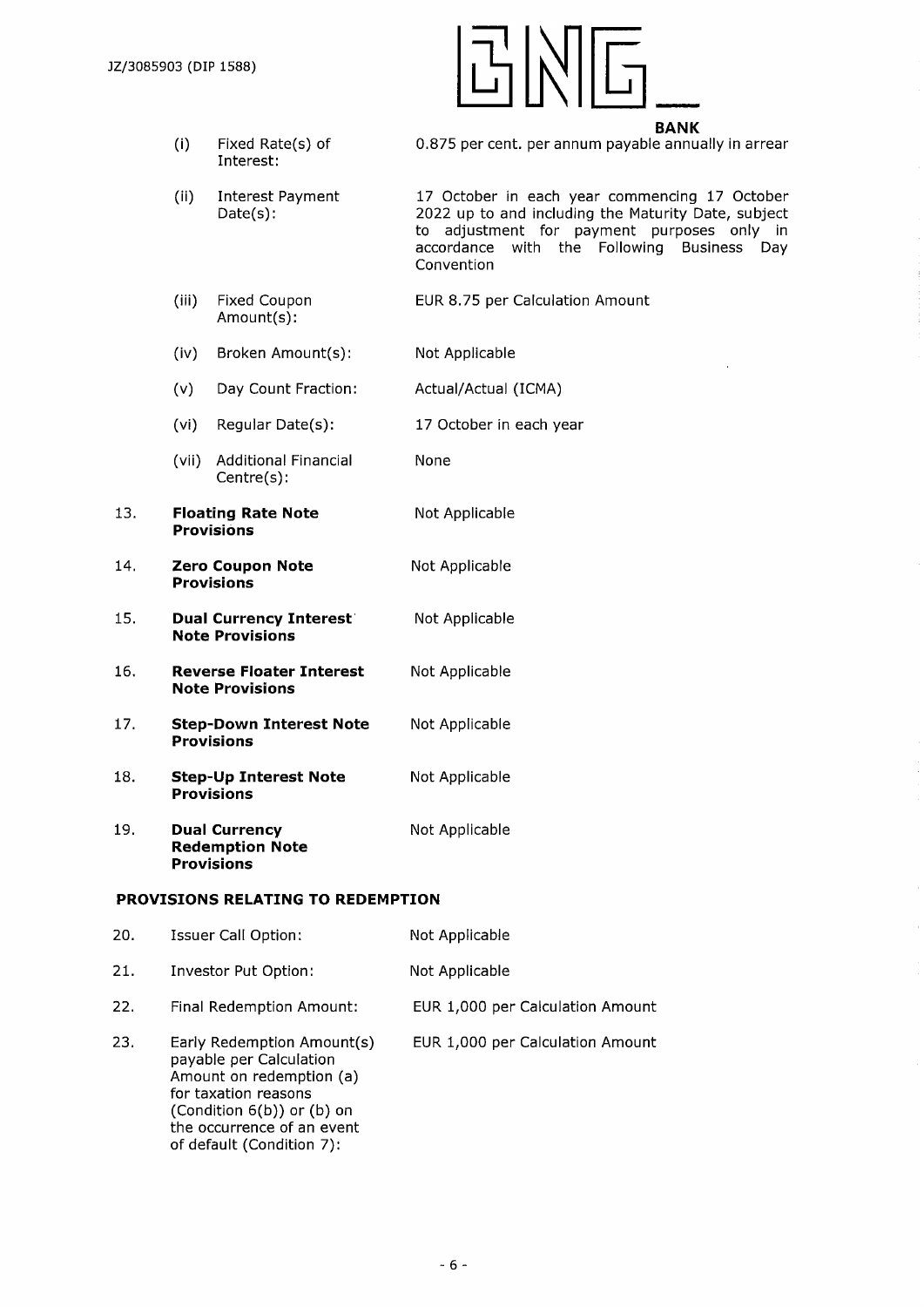

- (i) Fixed Rate(s) of Interest: 0.875 per cent, per annum payable annually in arrear
- (ii) Interest Payment Date(s): 17 October in each year commencing 17 October 2022 up to and including the Maturity Date, subject to adjustment for payment purposes only in accordance with the Following Business Day Convention
- (iii) Fixed Coupon Amount(s): EUR 8.75 per Calculation Amount
- (iv) Broken Amount(s): Not Applicable
- (v) Day Count Fraction: Actual/Actual (ICMA)
- (vi) Regular Date(s): 17 October in each year
- (vii) Additional Financial None Centre(s):
- 13. **Floating Rate Note Provisions** Not Applicable
- 14. **Zero Coupon Note** Not Applicable **Provisions**
- 15. **Dual Currency Interest** Not Applicable **Note Provisions**
- 16. **Reverse Floater Interest** Not Applicable **Note Provisions**
- 17. **Step-Down Interest Note** Not Applicable **Provisions**
- 18. **Step-Up Interest Note** Not Applicable **Provisions**
- 19. **Dual Currency** Not Applicable **Redemption Note Provisions**

## **PROVISIONS RELATING TO REDEMPTION**

| 20. | Issuer Call Option:                                                                                                                                                                                | Not Applicable                   |
|-----|----------------------------------------------------------------------------------------------------------------------------------------------------------------------------------------------------|----------------------------------|
| 21. | Investor Put Option:                                                                                                                                                                               | Not Applicable                   |
| 22. | Final Redemption Amount:                                                                                                                                                                           | EUR 1,000 per Calculation Amount |
| 23. | Early Redemption Amount(s)<br>payable per Calculation<br>Amount on redemption (a)<br>for taxation reasons<br>(Condition 6(b)) or (b) on<br>the occurrence of an event<br>of default (Condition 7): | EUR 1,000 per Calculation Amount |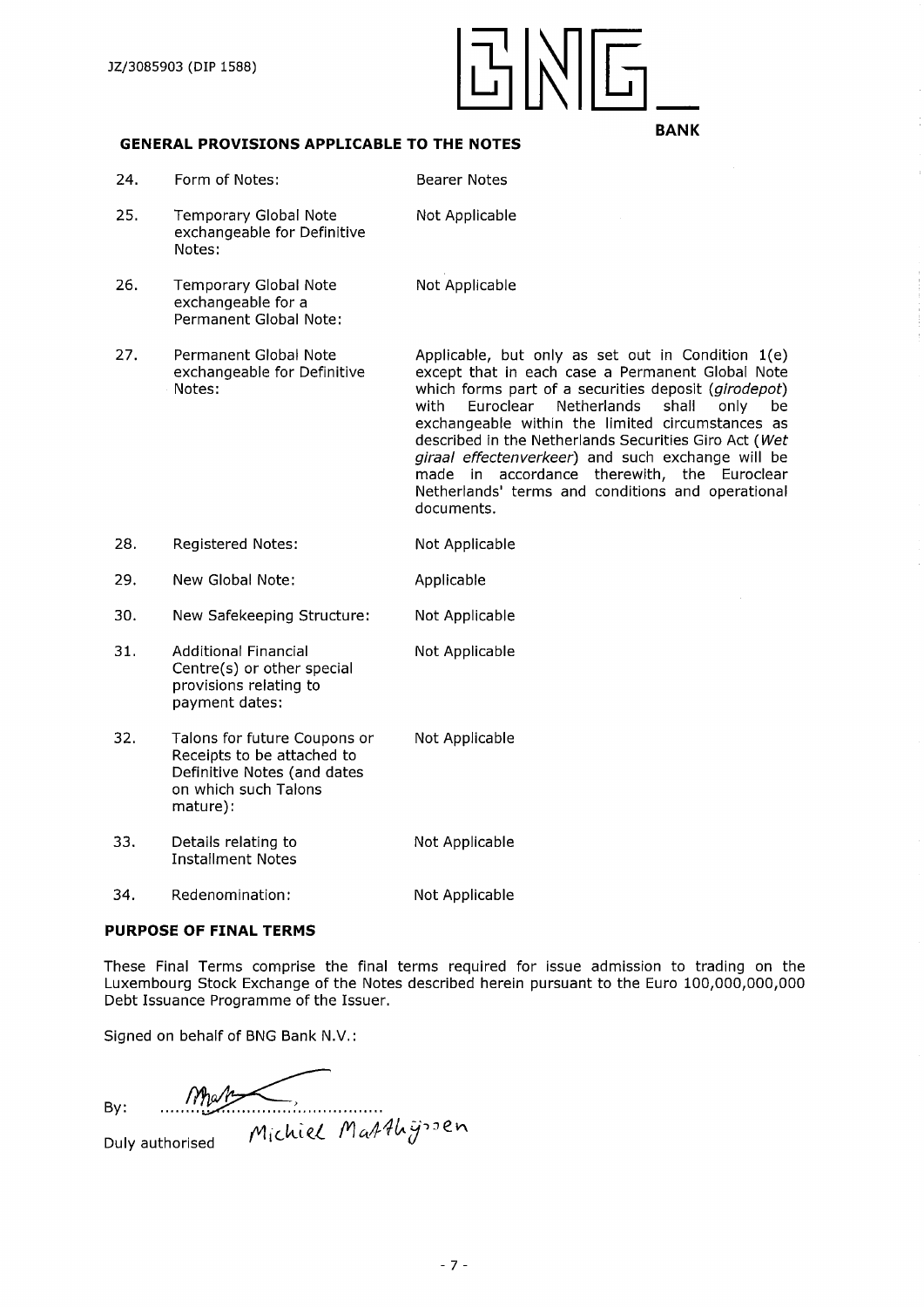

### **GENERAL PROVISIONS APPLICABLE TO THE NOTES**

| 24. | Form of Notes:                                                                                                                | <b>Bearer Notes</b>                                                                                                                                                                                                                                                                                                                                                                                                                                                                                          |
|-----|-------------------------------------------------------------------------------------------------------------------------------|--------------------------------------------------------------------------------------------------------------------------------------------------------------------------------------------------------------------------------------------------------------------------------------------------------------------------------------------------------------------------------------------------------------------------------------------------------------------------------------------------------------|
| 25. | <b>Temporary Global Note</b><br>exchangeable for Definitive<br>Notes:                                                         | Not Applicable                                                                                                                                                                                                                                                                                                                                                                                                                                                                                               |
| 26. | <b>Temporary Global Note</b><br>exchangeable for a<br>Permanent Global Note:                                                  | Not Applicable                                                                                                                                                                                                                                                                                                                                                                                                                                                                                               |
| 27. | Permanent Global Note<br>exchangeable for Definitive<br>Notes:                                                                | Applicable, but only as set out in Condition 1(e)<br>except that in each case a Permanent Global Note<br>which forms part of a securities deposit (girodepot)<br>with<br>Euroclear<br>Netherlands<br>shall<br>only<br>be<br>exchangeable within the limited circumstances as<br>described in the Netherlands Securities Giro Act (Wet<br>giraal effectenverkeer) and such exchange will be<br>made in accordance therewith, the Euroclear<br>Netherlands' terms and conditions and operational<br>documents. |
| 28. | <b>Registered Notes:</b>                                                                                                      | Not Applicable                                                                                                                                                                                                                                                                                                                                                                                                                                                                                               |
| 29. | New Global Note:                                                                                                              | Applicable                                                                                                                                                                                                                                                                                                                                                                                                                                                                                                   |
| 30. | New Safekeeping Structure:                                                                                                    | Not Applicable                                                                                                                                                                                                                                                                                                                                                                                                                                                                                               |
| 31. | <b>Additional Financial</b><br>Centre(s) or other special<br>provisions relating to<br>payment dates:                         | Not Applicable                                                                                                                                                                                                                                                                                                                                                                                                                                                                                               |
| 32. | Talons for future Coupons or<br>Receipts to be attached to<br>Definitive Notes (and dates<br>on which such Talons<br>mature): | Not Applicable                                                                                                                                                                                                                                                                                                                                                                                                                                                                                               |
| 33. | Details relating to<br><b>Installment Notes</b>                                                                               | Not Applicable                                                                                                                                                                                                                                                                                                                                                                                                                                                                                               |
| 34. | Redenomination:                                                                                                               | Not Applicable                                                                                                                                                                                                                                                                                                                                                                                                                                                                                               |

# **PURPOSE OF FINAL TERMS**

These Final Terms comprise the final terms required for issue admission to trading on the Luxembourg Stock Exchange of the Notes described herein pursuant to the Euro 100,000,000,000 Debt Issuance Programme of the Issuer.

Signed on behalf of BNG Bank N.V.:

Michiel Matthyssen By: ....."VS

Duly authorised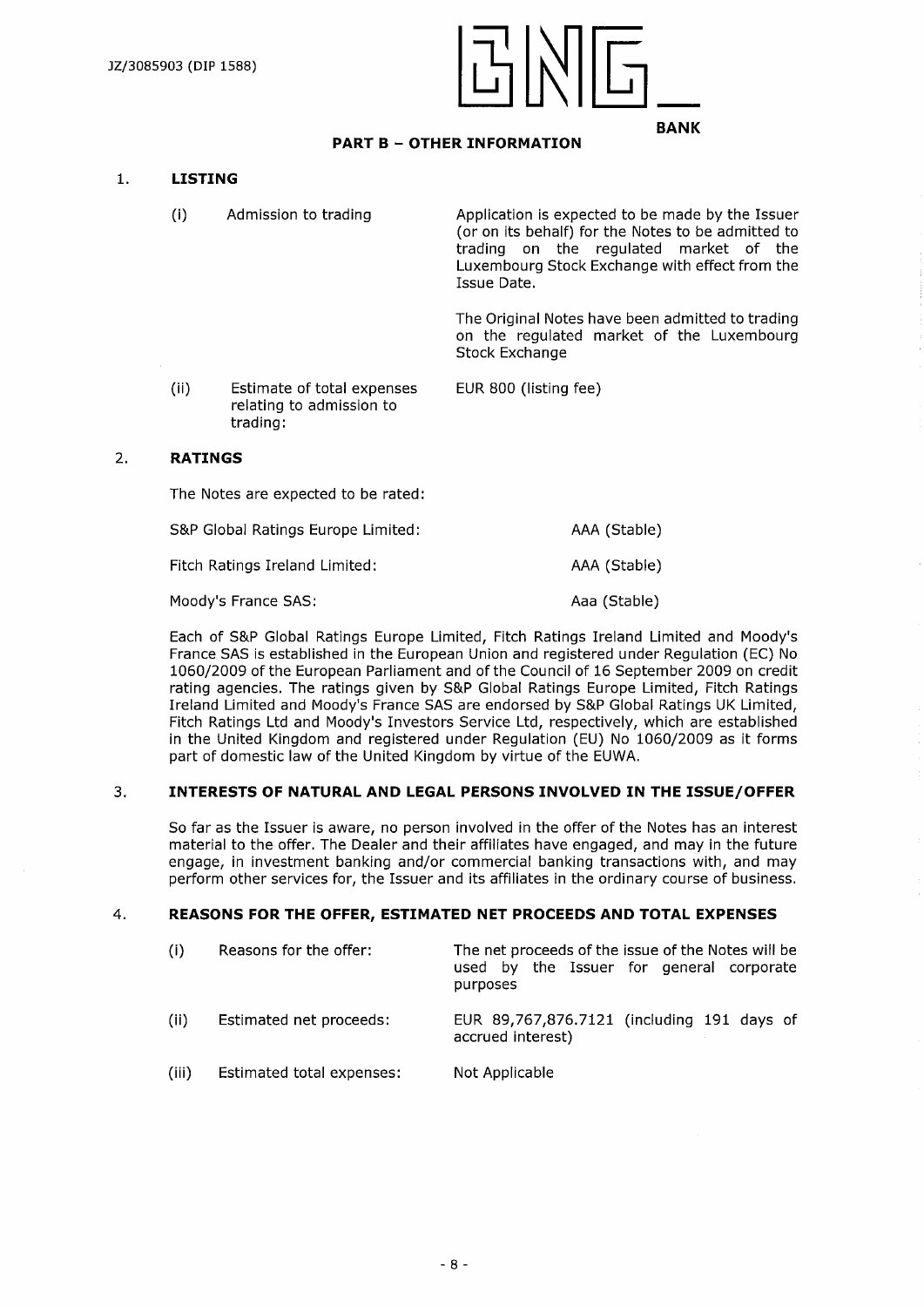

# **PART <sup>B</sup> - OTHER INFORMATION**

#### **1. LISTING**

- (i) Admission to trading Application is expected to be made by the Issuer (or on its behalf) for the Notes to be admitted to trading on the regulated market of the Luxembourg Stock Exchange with effect from the Issue Date. The Original Notes have been admitted to trading on the regulated market of the Luxembourg Stock Exchange
- (ii) Estimate of total expenses EUR 800 (listing fee) relating to admission to trading:

#### 2. **RATINGS**

The Notes are expected to be rated:

| S&P Global Ratings Europe Limited: | AAA (Stable) |
|------------------------------------|--------------|
| Fitch Ratings Ireland Limited:     | AAA (Stable) |

Moody's France SAS: Aaa (Stable)

Each of S&P Global Ratings Europe Limited, Fitch Ratings Ireland Limited and Moody's France SAS is established in the European Union and registered under Regulation (EC) No 1060/2009 of the European Parliament and ofthe Council of 16 September 2009 on credit rating agencies. The ratings given by S&P Global Ratings Europe Limited, Fitch Ratings Ireland Limited and Moody's France SAS are endorsed by S&P Global Ratings UK Limited, Fitch Ratings Ltd and Moody's Investors Service Ltd, respectively, which are established in the United Kingdom and registered under Regulation (EU) No 1060/2009 as it forms part of domestic law of the United Kingdom by virtue of the EUWA.

# 3. **INTERESTS OF NATURAL AND LEGAL PERSONS INVOLVED IN THE ISSUE/OFFER**

So far as the Issuer is aware, no person involved in the offer of the Notes has an interest material to the offer. The Dealer and their affiliates have engaged, and may in the future engage, in investment banking and/or commercial banking transactions with, and may perform other services for, the Issuer and its affiliates in the ordinary course of business.

## 4. **REASONS FOR THE OFFER, ESTIMATED NET PROCEEDS AND TOTAL EXPENSES**

| (i)   | Reasons for the offer:    | The net proceeds of the issue of the Notes will be<br>used by the Issuer for general corporate<br>purposes |
|-------|---------------------------|------------------------------------------------------------------------------------------------------------|
| (ii)  | Estimated net proceeds:   | EUR 89,767,876.7121 (including 191 days of<br>accrued interest)                                            |
| (iii) | Estimated total expenses: | Not Applicable                                                                                             |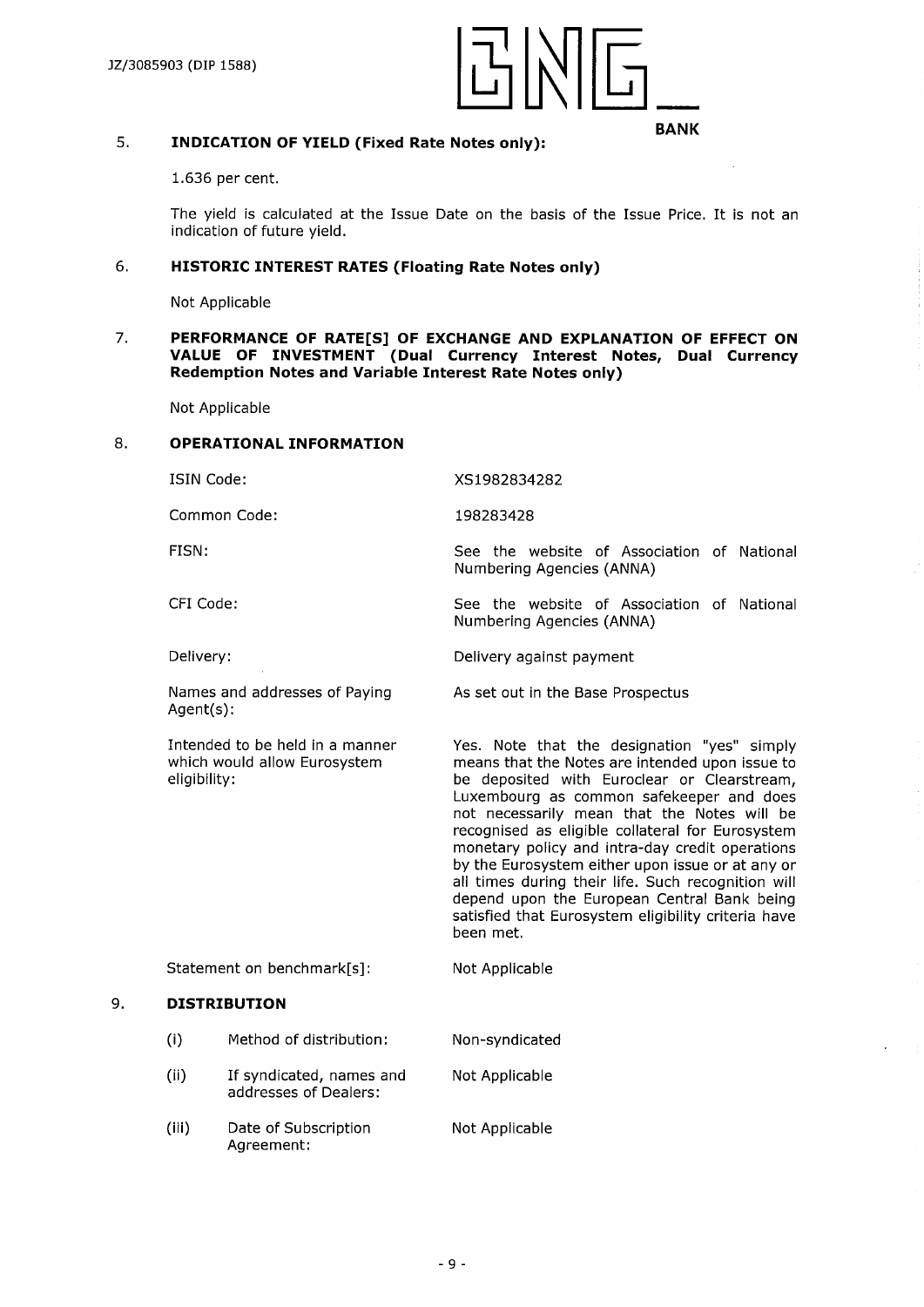

# 5. **INDICATION OF YIELD (Fixed Rate Notes only):**

1.636 per cent.

The yield is calculated at the Issue Date on the basis of the Issue Price. It is not an indication of future yield.

# 6**. HISTORIC INTEREST RATES (Floating Rate Notes only)**

Not Applicable

#### 7. **PERFORMANCE OF RATE[S] OF EXCHANGE AND EXPLANATION OF EFFECT ON VALUE OF INVESTMENT (Dual Currency Interest Notes, Dual Currency Redemption Notes and Variable Interest Rate Notes only)**

Not Applicable

#### 8. **OPERATIONAL INFORMATION**

ISIN Code:

XS1982834282 198283428

Common Code:

FISN:

CFI Code:

Delivery:

Agent(s):

eligibility:

Numbering Agencies (ANNA)

Numbering Agencies (ANNA)

Delivery against payment

Not Applicable

As set out in the Base Prospectus

Yes. Note that the designation "yes" simply means that the Notes are intended upon issue to be deposited with Euroclear or Clearstream, Luxembourg as common safekeeper and does not necessarily mean that the Notes will be recognised as eligible collateral for Eurosystem monetary policy and intra-day credit operations by the Eurosystem either upon issue or at any or all times during their life. Such recognition will depend upon the European Central Bank being satisfied that Eurosystem eligibility criteria have been met.

See the website of Association of National

See the website of Association of National

Statement on benchmark[s]:

Names and addresses of Paying

Intended to be held in a manner which would allow Eurosystem

## 9. **DISTRIBUTION**

- (i) Method of distribution: Non-syndicated
- (ii) If syndicated, names and Not Applicable addresses of Dealers:
- (iii) Date of Subscription Not Applicable Agreement: